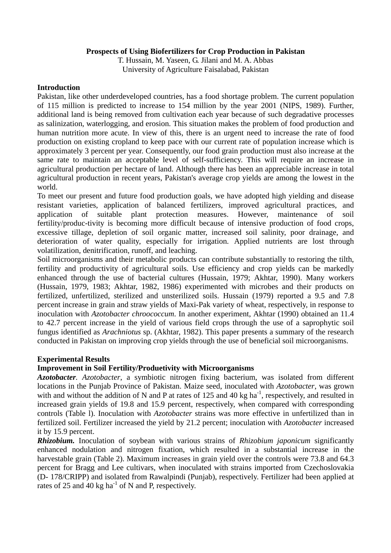### **Prospects of Using Biofertilizers for Crop Production in Pakistan**

T. Hussain, M. Yaseen, G. Jilani and M. A. Abbas University of Agriculture Faisalabad, Pakistan

### **Introduction**

Pakistan, like other underdeveloped countries, has a food shortage problem. The current population of 115 million is predicted to increase to 154 million by the year 2001 (NIPS, 1989). Further, additional land is being removed from cultivation each year because of such degradative processes as salinization, waterlogging, and erosion. This situation makes the problem of food production and human nutrition more acute. In view of this, there is an urgent need to increase the rate of food production on existing cropland to keep pace with our current rate of population increase which is approximately 3 percent per year. Consequently, our food grain production must also increase at the same rate to maintain an acceptable level of self-sufficiency. This will require an increase in agricultural production per hectare of land. Although there has been an appreciable increase in total agricultural production in recent years, Pakistan's average crop yields are among the lowest in the world.

To meet our present and future food production goals, we have adopted high yielding and disease resistant varieties, application of balanced fertilizers, improved agricultural practices, and application of suitable plant protection measures. However, maintenance of soil fertility/produc-tivity is becoming more difficult because of intensive production of food crops, excessive tillage, depletion of soil organic matter, increased soil salinity, poor drainage, and deterioration of water quality, especially for irrigation. Applied nutrients are lost through volatilization, denitrification, runoff, and leaching.

Soil microorganisms and their metabolic products can contribute substantially to restoring the tilth, fertility and productivity of agricultural soils. Use efficiency and crop yields can be markedly enhanced through the use of bacterial cultures (Hussain, 1979; Akhtar, 1990). Many workers (Hussain, 1979, 1983; Akhtar, 1982, 1986) experimented with microbes and their products on fertilized, unfertilized, sterilized and unsterilized soils. Hussain (1979) reported a 9.5 and 7.8 percent increase in grain and straw yields of Maxi-Pak variety of wheat, respectively, in response to inoculation with *Azotobacter chroococcum*. In another experiment, Akhtar (1990) obtained an 11.4 to 42.7 percent increase in the yield of various field crops through the use of a saprophytic soil fungus identified as *Arachniotus* sp. (Akhtar, 1982). This paper presents a summary of the research conducted in Pakistan on improving crop yields through the use of beneficial soil microorganisms.

# **Experimental Results**

# **Improvement in Soil Fertility/Produetivity with Microorganisms**

*Azotobacter. Azotobacter*, a symbiotic nitrogen fixing bacterium, was isolated from different locations in the Punjab Province of Pakistan. Maize seed, inoculated with *Azotobacter*, was grown with and without the addition of N and P at rates of 125 and 40 kg ha<sup>-1</sup>, respectively, and resulted in increased grain yields of 19.8 and 15.9 percent, respectively, when compared with corresponding controls (Table l). Inoculation with *Azotobacter* strains was more effective in unfertilized than in fertilized soil. Fertilizer increased the yield by 21.2 percent; inoculation with *Azotobacter* increased it by 15.9 percent.

*Rhizobium.* Inoculation of soybean with various strains of *Rhizobium japonicum* significantly enhanced nodulation and nitrogen fixation, which resulted in a substantial increase in the harvestable grain (Table 2). Maximum increases in grain yield over the controls were 73.8 and 64.3 percent for Bragg and Lee cultivars, when inoculated with strains imported from Czechoslovakia (D- 178/CRIPP) and isolated from Rawalpindi (Punjab), respectively. Fertilizer had been applied at rates of 25 and 40 kg ha<sup>-1</sup> of N and P, respectively.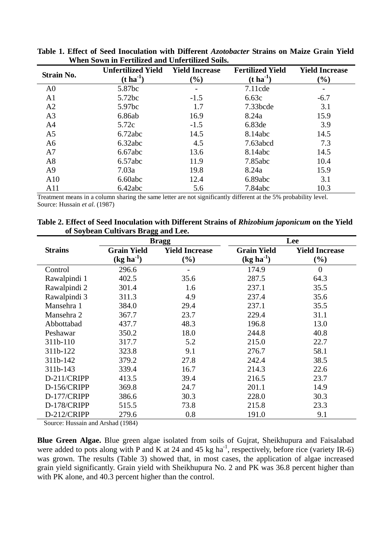|                   | <b>Unfertilized Yield</b> | <b>Yield Increase</b> | <b>Fertilized Yield</b> | <b>Yield Increase</b> |
|-------------------|---------------------------|-----------------------|-------------------------|-----------------------|
| <b>Strain No.</b> | $(t \text{ ha}^{-1})$     | (%)                   | $(t \, ha^{-1})$        | $(\%)$                |
| A <sub>0</sub>    | 5.87bc                    |                       | $7.11$ cde              |                       |
| A <sub>1</sub>    | 5.72bc                    | $-1.5$                | 6.63c                   | $-6.7$                |
| A <sub>2</sub>    | 5.97bc                    | 1.7                   | 7.33bcde                | 3.1                   |
| A <sub>3</sub>    | 6.86ab                    | 16.9                  | 8.24a                   | 15.9                  |
| A <sub>4</sub>    | 5.72c                     | $-1.5$                | 6.83de                  | 3.9                   |
| A <sub>5</sub>    | 6.72abc                   | 14.5                  | 8.14abc                 | 14.5                  |
| A <sub>6</sub>    | 6.32abc                   | 4.5                   | 7.63abcd                | 7.3                   |
| A7                | 6.67abc                   | 13.6                  | 8.14abc                 | 14.5                  |
| A8                | 6.57abc                   | 11.9                  | 7.85abc                 | 10.4                  |
| A <sup>9</sup>    | 7.03a                     | 19.8                  | 8.24a                   | 15.9                  |
| A10               | 6.60abc                   | 12.4                  | 6.89abc                 | 3.1                   |
| A11               | 6.42abc                   | 5.6                   | 7.84abc                 | 10.3                  |

**Table 1. Effect of Seed Inoculation with Different** *Azotobacter* **Strains on Maize Grain Yield When Sown in Fertilized and Unfertilized Soils.** 

Treatment means in a column sharing the same letter are not significantly different at the 5% probability level. Source: Hussain *et al*. (1987)

|                | of soybean Cultivals bragg and Lee. |                       |                    |                       |  |
|----------------|-------------------------------------|-----------------------|--------------------|-----------------------|--|
|                | <b>Bragg</b>                        |                       |                    | Lee                   |  |
| <b>Strains</b> | <b>Grain Yield</b>                  | <b>Yield Increase</b> | <b>Grain Yield</b> | <b>Yield Increase</b> |  |
|                | $(kg ha^{-1})$                      | $(\%)$                | $(kg ha^{-1})$     | $(\%)$                |  |
| Control        | 296.6                               |                       | 174.9              | $\overline{0}$        |  |
| Rawalpindi 1   | 402.5                               | 35.6                  | 287.5              | 64.3                  |  |
| Rawalpindi 2   | 301.4                               | 1.6                   | 237.1              | 35.5                  |  |
| Rawalpindi 3   | 311.3                               | 4.9                   | 237.4              | 35.6                  |  |
| Mansehra 1     | 384.0                               | 29.4                  | 237.1              | 35.5                  |  |
| Mansehra 2     | 367.7                               | 23.7                  | 229.4              | 31.1                  |  |
| Abbottabad     | 437.7                               | 48.3                  | 196.8              | 13.0                  |  |
| Peshawar       | 350.2                               | 18.0                  | 244.8              | 40.8                  |  |
| 311b-110       | 317.7                               | 5.2                   | 215.0              | 22.7                  |  |
| 311b-122       | 323.8                               | 9.1                   | 276.7              | 58.1                  |  |
| 311b-142       | 379.2                               | 27.8                  | 242.4              | 38.5                  |  |
| 311b-143       | 339.4                               | 16.7                  | 214.3              | 22.6                  |  |
| D-211/CRIPP    | 413.5                               | 39.4                  | 216.5              | 23.7                  |  |
| D-156/CRIPP    | 369.8                               | 24.7                  | 201.1              | 14.9                  |  |
| D-177/CRIPP    | 386.6                               | 30.3                  | 228.0              | 30.3                  |  |
| D-178/CRIPP    | 515.5                               | 73.8                  | 215.8              | 23.3                  |  |
| D-212/CRIPP    | 279.6                               | 0.8                   | 191.0              | 9.1                   |  |

**Table 2. Effect of Seed Inoculation with Different Strains of** *Rhizobium japonicum* **on the Yield of Soybean Cultivars Bragg and Lee.** 

Source: Hussain and Arshad (1984)

**Blue Green Algae.** Blue green algae isolated from soils of Gujrat, Sheikhupura and Faisalabad were added to pots along with P and K at 24 and 45 kg ha<sup>-1</sup>, respectively, before rice (variety IR-6) was grown. The results (Table 3) showed that, in most cases, the application of algae increased grain yield significantly. Grain yield with Sheikhupura No. 2 and PK was 36.8 percent higher than with PK alone, and 40.3 percent higher than the control.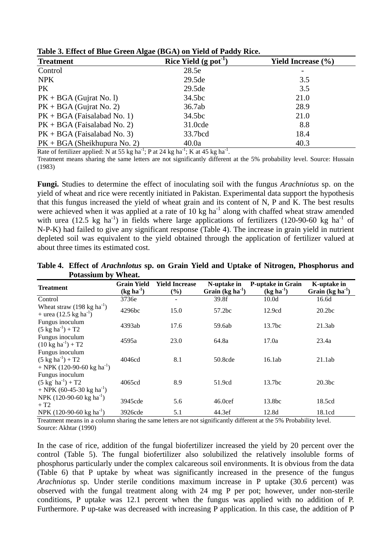| <b>Treatment</b>               | Rice Yield (g pot <sup>-1</sup> | <b>Yield Increase</b> (%) |
|--------------------------------|---------------------------------|---------------------------|
| Control                        | 28.5e                           |                           |
| <b>NPK</b>                     | 29.5de                          | 3.5                       |
| PK.                            | 29.5de                          | 3.5                       |
| $PK + BGA$ (Gujrat No. 1)      | 34.5bc                          | 21.0                      |
| $PK + BGA$ (Gujrat No. 2)      | 36.7ab                          | 28.9                      |
| $PK + BGA$ (Faisalabad No. 1)  | 34.5bc                          | 21.0                      |
| $PK + BGA$ (Faisalabad No. 2)  | 31.0cde                         | 8.8                       |
| $PK + BGA$ (Faisalabad No. 3)  | 33.7bcd                         | 18.4                      |
| $PK + BGA$ (Sheikhupura No. 2) | 40.0a                           | 40.3                      |

**Table 3. Effect of Blue Green Algae (BGA) on Yield of Paddy Rice.** 

Rate of fertilizer applied: N at 55 kg ha<sup>-1</sup>; P at 24 kg ha<sup>-1</sup>; K at 45 kg ha<sup>-1</sup>.

Treatment means sharing the same letters are not significantly different at the 5% probability level. Source: Hussain (1983)

**Fungi.** Studies to determine the effect of inoculating soil with the fungus *Arachniotus* sp. on the yield of wheat and rice were recently initiated in Pakistan. Experimental data support the hypothesis that this fungus increased the yield of wheat grain and its content of N, P and K. The best results were achieved when it was applied at a rate of 10 kg ha<sup>-1</sup> along with chaffed wheat straw amended with urea (12.5 kg ha<sup>-1</sup>) in fields where large applications of fertilizers (120-90-60 kg ha<sup>-1</sup> of N-P-K) had failed to give any significant response (Table 4). The increase in grain yield in nutrient depleted soil was equivalent to the yield obtained through the application of fertilizer valued at about three times its estimated cost.

| Table 4. Effect of <i>Arachnlotus</i> sp. on Grain Yield and Uptake of Nitrogen, Phosphorus and |  |  |  |
|-------------------------------------------------------------------------------------------------|--|--|--|
| Potassium by Wheat.                                                                             |  |  |  |

| <b>Treatment</b>                                                                           | <b>Grain Yield</b><br>$(kg ha-1)$ | <b>Yield Increase</b><br>$(\%)$ | N-uptake in<br>Grain $(kg ha-1)$ | <b>P-uptake in Grain</b><br>$(kg ha-1)$ | K-uptake in<br>Grain $(kg ha-1)$ |
|--------------------------------------------------------------------------------------------|-----------------------------------|---------------------------------|----------------------------------|-----------------------------------------|----------------------------------|
| Control                                                                                    | 3736e                             |                                 | 39.8f                            | 10.0 <sub>d</sub>                       | 16.6d                            |
| Wheat straw $(198 \text{ kg ha}^{-1})$<br>$+$ urea (12.5 kg ha <sup>-1</sup> )             | 4296bc                            | 15.0                            | 57.2bc                           | 12.9cd                                  | 20.2 <sub>bc</sub>               |
| Fungus inoculum<br>$(5 \text{ kg ha}^{-1}) + T2$                                           | 4393ab                            | 17.6                            | 59.6ab                           | 13.7 <sub>bc</sub>                      | 21.3ab                           |
| Fungus inoculum<br>$(10 \text{ kg ha}^{-1}) + T2$                                          | 4595a                             | 23.0                            | 64.8a                            | 17.0a                                   | 23.4a                            |
| Fungus inoculum<br>$(5 \text{ kg ha}^{-1}) + T2$<br>+ NPK (120-90-60 kg ha <sup>-1</sup> ) | 4046cd                            | 8.1                             | 50.8cde                          | 16.1ab                                  | 21.1ab                           |
| Fungus inoculum<br>$(5 \text{ kg}^{-1}) + T2$<br>+ NPK (60-45-30 kg ha <sup>-1</sup> )     | 4065cd                            | 8.9                             | 51.9cd                           | 13.7bc                                  | 20.3 <sub>bc</sub>               |
| NPK (120-90-60 kg ha <sup>-1</sup> )<br>$+T2$                                              | 3945cde                           | 5.6                             | 46.0 <sub>cef</sub>              | 13.8bc                                  | 18.5cd                           |
| NPK (120-90-60 kg ha <sup>-1</sup> )                                                       | 3926cde                           | 5.1                             | 44.3ef                           | 12.8d                                   | 18.1cd                           |

Treatment means in a column sharing the same letters are not significantly different at the 5% Probability level. Source: Akhtar (1990)

In the case of rice, addition of the fungal biofertilizer increased the yield by 20 percent over the control (Table 5). The fungal biofertilizer also solubilized the relatively insoluble forms of phosphorus particularly under the complex calcareous soil environments. It is obvious from the data (Table 6) that P uptake by wheat was significantly increased in the presence of the fungus *Arachniotus* sp. Under sterile conditions maximum increase in P uptake (30.6 percent) was observed with the fungal treatment along with 24 mg P per pot; however, under non-sterile conditions, P uptake was 12.1 percent when the fungus was applied with no addition of P. Furthermore. P up-take was decreased with increasing P application. In this case, the addition of P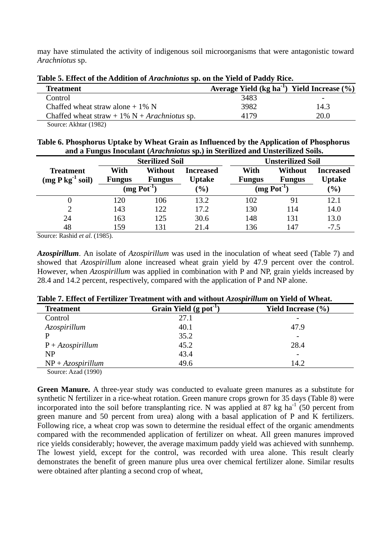may have stimulated the activity of indigenous soil microorganisms that were antagonistic toward *Arachniotus* sp.

| Table 5. Effect of the Addition of Arachnolus sp. on the Yield of Paddy Rice.                                                                                                                                                                                                                                                      |                                                  |      |  |
|------------------------------------------------------------------------------------------------------------------------------------------------------------------------------------------------------------------------------------------------------------------------------------------------------------------------------------|--------------------------------------------------|------|--|
| <b>Treatment</b>                                                                                                                                                                                                                                                                                                                   | Average Yield $(kg ha-1)$ Yield Increase $(\% )$ |      |  |
| Control                                                                                                                                                                                                                                                                                                                            | 3483                                             | -    |  |
| Chaffed wheat straw alone $+1\%$ N                                                                                                                                                                                                                                                                                                 | 3982                                             | 14.3 |  |
| Chaffed wheat straw + 1% $N + Arachniotus$ sp.                                                                                                                                                                                                                                                                                     | 4179                                             | 20.0 |  |
| $\mathbf{1}$ $\mathbf{1}$ $\mathbf{1}$ $\mathbf{1}$ $\mathbf{1}$ $\mathbf{1}$ $\mathbf{1}$ $\mathbf{1}$ $\mathbf{1}$ $\mathbf{1}$ $\mathbf{1}$ $\mathbf{1}$ $\mathbf{1}$ $\mathbf{1}$ $\mathbf{1}$ $\mathbf{1}$ $\mathbf{1}$ $\mathbf{1}$ $\mathbf{1}$ $\mathbf{1}$ $\mathbf{1}$ $\mathbf{1}$ $\mathbf{1}$ $\mathbf{1}$ $\mathbf{$ |                                                  |      |  |

**Table 5. Effect of the Addition of** *Arachniotus* **sp. on the Yield of Paddy Rice.** 

Source: Akhtar (1982)

| Table 6. Phosphorus Uptake by Wheat Grain as Influenced by the Application of Phosphorus |  |  |
|------------------------------------------------------------------------------------------|--|--|
| and a Fungus Inoculant (Arachniotus sp.) in Sterilized and Unsterilized Soils.           |  |  |

|                                        | <b>Sterilized Soil</b> |                           |                                   |                       | <b>Unsterilized Soil</b>  |                                   |
|----------------------------------------|------------------------|---------------------------|-----------------------------------|-----------------------|---------------------------|-----------------------------------|
| <b>Treatment</b><br>$(mg P kg-1 soil)$ | With<br><b>Fungus</b>  | Without<br><b>Fungus</b>  | <b>Increased</b><br><b>Uptake</b> | With<br><b>Fungus</b> | Without<br><b>Fungus</b>  | <b>Increased</b><br><b>Uptake</b> |
|                                        |                        | $(mg$ Pot <sup>-1</sup> ) | $\frac{6}{6}$                     |                       | $(mg$ Pot <sup>-1</sup> ) | $(\%)$                            |
|                                        | 120                    | 106                       | 13.2                              | 102                   | 91                        | 12.1                              |
|                                        | 143                    | 122                       | 17.2                              | 130                   | 114                       | 14.0                              |
| 24                                     | 163                    | 125                       | 30.6                              | 148                   | 131                       | 13.0                              |
| 48                                     | 159                    | 131                       | 21.4                              | 136                   | 147                       | $-7.5$                            |

Source: Rashid *et al*. (1985).

*Azospirillum*. An isolate of *Azospirillum* was used in the inoculation of wheat seed (Table 7) and showed that *Azospirillum* alone increased wheat grain yield by 47.9 percent over the control. However, when *Azospirillum* was applied in combination with P and NP, grain yields increased by 28.4 and 14.2 percent, respectively, compared with the application of P and NP alone.

| <b>Treatment</b>      | Grain Yield $(g$ pot <sup>-1</sup> ) | Yield Increase $(\% )$   |
|-----------------------|--------------------------------------|--------------------------|
| Control               | 27.1                                 | $\overline{\phantom{0}}$ |
| Azospirillum          | 40.1                                 | 47.9                     |
| P                     | 35.2                                 | $\overline{\phantom{a}}$ |
| $P + A z o$ spirillum | 45.2                                 | 28.4                     |
| NP                    | 43.4                                 | $\overline{\phantom{a}}$ |
| $NP + Azospirillum$   | 49.6                                 | 14.2                     |

### **Table 7. Effect of Fertilizer Treatment with and without** *Azospirillum* **on Yield of Wheat.**

Source: Azad (1990)

**Green Manure.** A three-year study was conducted to evaluate green manures as a substitute for synthetic N fertilizer in a rice-wheat rotation. Green manure crops grown for 35 days (Table 8) were incorporated into the soil before transplanting rice. N was applied at 87 kg ha<sup>-1</sup> (50 percent from green manure and 50 percent from urea) along with a basal application of P and K fertilizers. Following rice, a wheat crop was sown to determine the residual effect of the organic amendments compared with the recommended application of fertilizer on wheat. All green manures improved rice yields considerably; however, the average maximum paddy yield was achieved with sunnhemp. The lowest yield, except for the control, was recorded with urea alone. This result clearly demonstrates the benefit of green manure plus urea over chemical fertilizer alone. Similar results were obtained after planting a second crop of wheat,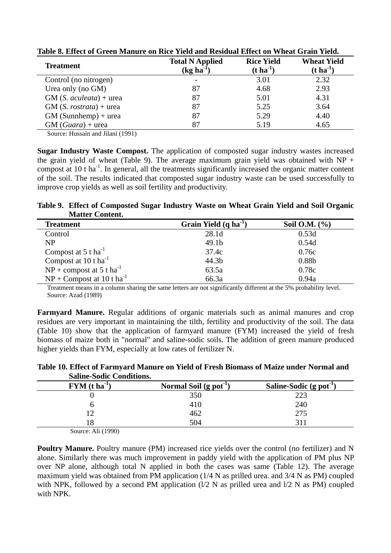| <b>Treatment</b>         | <b>Total N Applied</b><br>$(kg ha^{-1})$ | <b>Rice Yield</b><br>$(t \text{ ha}^{-1})$ | <b>Wheat Yield</b><br>$(t \, ha^{-1})$ |
|--------------------------|------------------------------------------|--------------------------------------------|----------------------------------------|
| Control (no nitrogen)    |                                          | 3.01                                       | 2.32                                   |
| Urea only (no GM)        | 87                                       | 4.68                                       | 2.93                                   |
| $GM(S. aculeata) + urea$ | 87                                       | 5.01                                       | 4.31                                   |
| $GM(S. rostrata) + urea$ | 87                                       | 5.25                                       | 3.64                                   |
| $GM$ (Sunnhemp) + urea   | 87                                       | 5.29                                       | 4.40                                   |
| $GM(Guara) + urea$       | 87                                       | 5.19                                       | 4.65                                   |

**Table 8. Effect of Green Manure on Rice Yield and Residual Effect on Wheat Grain Yield.** 

Source: Hussain and Jilani (1991)

**Sugar Industry Waste Compost.** The application of composted sugar industry wastes increased the grain yield of wheat (Table 9). The average maximum grain yield was obtained with  $NP +$ compost at 10 t ha<sup>-1</sup>. In general, all the treatments significantly increased the organic matter content of the soil. The results indicated that composted sugar industry waste can be used successfully to improve crop yields as well as soil fertility and productivity.

**Table 9. Effect of Composted Sugar Industry Waste on Wheat Grain Yield and Soil Organic Matter Content.** 

| <b>Treatment</b>                        | Grain Yield $(q \, ha^{-1})$ | Soil O.M. $(\% )$ |
|-----------------------------------------|------------------------------|-------------------|
| Control                                 | 28.1d                        | 0.53d             |
| <b>NP</b>                               | 49.1 <sub>b</sub>            | 0.54d             |
| Compost at $5$ t ha <sup>-1</sup>       | 37.4c                        | 0.76c             |
| Compost at $10$ t ha <sup>-1</sup>      | 44.3b                        | 0.88b             |
| $NP$ + compost at 5 t ha <sup>-1</sup>  | 63.5a                        | 0.78c             |
| $NP + Compost$ at 10 t ha <sup>-1</sup> | 66.3a                        | 0.94a             |

 Treatment means in a column sharing the same letters are not significantly different at the 5% probability level. Source: Azad (1989)

**Farmyard Manure.** Regular additions of organic materials such as animal manures and crop residues are very important in maintaining the tilth, fertility and productivity of the soil. The data (Table 10) show that the application of farmyard manure (FYM) increased the yield of fresh biomass of maize both in "normal" and saline-sodic soils. The addition of green manure produced higher yields than FYM, especially at low rates of fertilizer N.

**Table 10. Effect of Farmyard Manure on Yield of Fresh Biomass of Maize under Normal and Saline-Sodic Conditions.** 

| $\bf{FYM}$ (t ha <sup>-1</sup> ) | Normal Soil $(g$ pot <sup>-1</sup> ) | Saline-Sodic (g pot <sup>-1</sup> ) |
|----------------------------------|--------------------------------------|-------------------------------------|
|                                  | 350                                  | 223                                 |
|                                  | 410                                  | 240                                 |
|                                  | 462                                  | 275                                 |
| 8                                | 504                                  |                                     |

Source: Ali (1990)

**Poultry Manure.** Poultry manure (PM) increased rice yields over the control (no fertilizer) and N alone. Similarly there was much improvement in paddy yield with the application of PM plus NP over NP alone, although total N applied in both the cases was same (Table 12). The average maximum yield was obtained from PM application (1/4 N as prilled urea. and 3/4 N as PM) coupled with NPK, followed by a second PM application  $(1/2 N)$  as prilled urea and  $1/2 N$  as PM) coupled with NPK.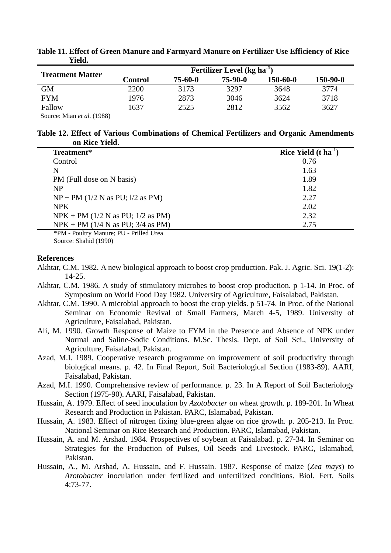| Fertilizer Level (kg ha <sup>-1</sup> ) |         |           |                |            |  |  |
|-----------------------------------------|---------|-----------|----------------|------------|--|--|
| Control                                 | 75-60-0 | $75-90-0$ | $150 - 60 - 0$ | $150-90-0$ |  |  |
| 2200                                    | 3173    | 3297      | 3648           | 3774       |  |  |
| 1976                                    | 2873    | 3046      | 3624           | 3718       |  |  |
| 1637                                    | 2525    | 2812      | 3562           | 3627       |  |  |
|                                         |         |           |                |            |  |  |

#### **Table 11. Effect of Green Manure and Farmyard Manure on Fertilizer Use Efficiency of Rice Yield.**

Source: Mian *et al*. (1988)

|                | Table 12. Effect of Various Combinations of Chemical Fertilizers and Organic Amendments |  |  |  |
|----------------|-----------------------------------------------------------------------------------------|--|--|--|
| on Rice Yield. |                                                                                         |  |  |  |

| Treatment*                          | Rice Yield $(t \text{ ha}^{-1})$ |
|-------------------------------------|----------------------------------|
| Control                             | 0.76                             |
| N                                   | 1.63                             |
| PM (Full dose on N basis)           | 1.89                             |
| <b>NP</b>                           | 1.82                             |
| $NP + PM$ (1/2 N as PU; 1/2 as PM)  | 2.27                             |
| <b>NPK</b>                          | 2.02                             |
| $NPK + PM$ (1/2 N as PU; 1/2 as PM) | 2.32                             |
| $NPK + PM$ (1/4 N as PU; 3/4 as PM) | 2.75                             |
|                                     |                                  |

 \*PM - Poultry Manure; PU - Prilled Urea Source: Shahid (1990)

#### **References**

- Akhtar, C.M. 1982. A new biological approach to boost crop production. Pak. J. Agric. Sci. 19(1-2): 14-25.
- Akhtar, C.M. 1986. A study of stimulatory microbes to boost crop production. p 1-14. In Proc. of Symposium on World Food Day 1982. University of Agriculture, Faisalabad, Pakistan.
- Akhtar, C.M. 1990. A microbial approach to boost the crop yields. p 51-74. In Proc. of the National Seminar on Economic Revival of Small Farmers, March 4-5, 1989. University of Agriculture, Faisalabad, Pakistan.
- Ali, M. 1990. Growth Response of Maize to FYM in the Presence and Absence of NPK under Normal and Saline-Sodic Conditions. M.Sc. Thesis. Dept. of Soil Sci., University of Agriculture, Faisalabad, Pakistan.
- Azad, M.I. 1989. Cooperative research programme on improvement of soil productivity through biological means. p. 42. In Final Report, Soil Bacteriological Section (1983-89). AARI, Faisalabad, Pakistan.
- Azad, M.I. 1990. Comprehensive review of performance. p. 23. In A Report of Soil Bacteriology Section (1975-90). AARI, Faisalabad, Pakistan.
- Hussain, A. 1979. Effect of seed inoculation by *Azotobacter* on wheat growth. p. 189-201. In Wheat Research and Production in Pakistan. PARC, Islamabad, Pakistan.
- Hussain, A. 1983. Effect of nitrogen fixing blue-green algae on rice growth. p. 205-213. In Proc. National Seminar on Rice Research and Production. PARC, Islamabad, Pakistan.
- Hussain, A. and M. Arshad. 1984. Prospectives of soybean at Faisalabad. p. 27-34. In Seminar on Strategies for the Production of Pulses, Oil Seeds and Livestock. PARC, Islamabad, Pakistan.
- Hussain, A., M. Arshad, A. Hussain, and F. Hussain. 1987. Response of maize (*Zea mays*) to *Azotobacter* inoculation under fertilized and unfertilized conditions. Biol. Fert. Soils 4:73-77.